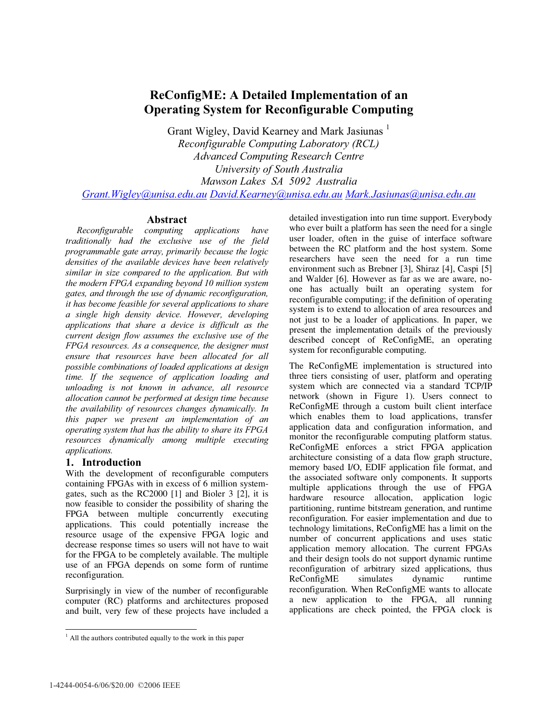# **ReConfigME: A Detailed Implementation of an Operating System for Reconfigurable Computing**

Grant Wigley, David Kearney and Mark Jasiunas<sup>1</sup> *Reconfigurable Computing Laboratory (RCL) Advanced Computing Research Centre University of South Australia Mawson Lakes SA 5092 Australia Grant.Wigley@unisa.edu.au David.Kearney@unisa.edu.au Mark.Jasiunas@unisa.edu.au*

## **Abstract**

*Reconfigurable computing applications have traditionally had the exclusive use of the field programmable gate array, primarily because the logic densities of the available devices have been relatively similar in size compared to the application. But with the modern FPGA expanding beyond 10 million system gates, and through the use of dynamic reconfiguration, it has become feasible for several applications to share a single high density device. However, developing applications that share a device is difficult as the current design flow assumes the exclusive use of the FPGA resources. As a consequence, the designer must ensure that resources have been allocated for all possible combinations of loaded applications at design time. If the sequence of application loading and unloading is not known in advance, all resource allocation cannot be performed at design time because the availability of resources changes dynamically. In this paper we present an implementation of an operating system that has the ability to share its FPGA resources dynamically among multiple executing applications.* 

# **1. Introduction**

With the development of reconfigurable computers containing FPGAs with in excess of 6 million systemgates, such as the RC2000 [1] and Bioler 3 [2], it is now feasible to consider the possibility of sharing the FPGA between multiple concurrently executing applications. This could potentially increase the resource usage of the expensive FPGA logic and decrease response times so users will not have to wait for the FPGA to be completely available. The multiple use of an FPGA depends on some form of runtime reconfiguration.

Surprisingly in view of the number of reconfigurable computer (RC) platforms and architectures proposed and built, very few of these projects have included a

detailed investigation into run time support. Everybody who ever built a platform has seen the need for a single user loader, often in the guise of interface software between the RC platform and the host system. Some researchers have seen the need for a run time environment such as Brebner [3], Shiraz [4], Caspi [5] and Walder [6]. However as far as we are aware, noone has actually built an operating system for reconfigurable computing; if the definition of operating system is to extend to allocation of area resources and not just to be a loader of applications. In paper, we present the implementation details of the previously described concept of ReConfigME, an operating system for reconfigurable computing.

The ReConfigME implementation is structured into three tiers consisting of user, platform and operating system which are connected via a standard TCP/IP network (shown in Figure 1). Users connect to ReConfigME through a custom built client interface which enables them to load applications, transfer application data and configuration information, and monitor the reconfigurable computing platform status. ReConfigME enforces a strict FPGA application architecture consisting of a data flow graph structure, memory based I/O, EDIF application file format, and the associated software only components. It supports multiple applications through the use of FPGA hardware resource allocation, application logic partitioning, runtime bitstream generation, and runtime reconfiguration. For easier implementation and due to technology limitations, ReConfigME has a limit on the number of concurrent applications and uses static application memory allocation. The current FPGAs and their design tools do not support dynamic runtime reconfiguration of arbitrary sized applications, thus ReConfigME simulates dynamic runtime reconfiguration. When ReConfigME wants to allocate a new application to the FPGA, all running applications are check pointed, the FPGA clock is

 $\overline{a}$ <sup>1</sup> All the authors contributed equally to the work in this paper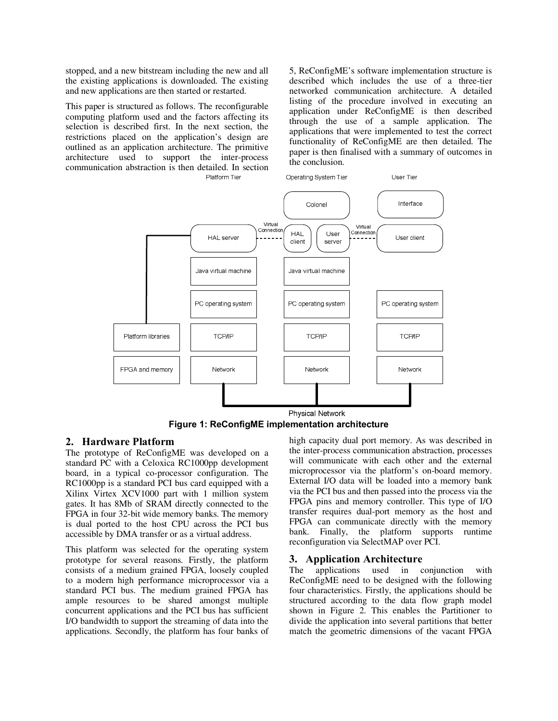stopped, and a new bitstream including the new and all the existing applications is downloaded. The existing and new applications are then started or restarted.

This paper is structured as follows. The reconfigurable computing platform used and the factors affecting its selection is described first. In the next section, the restrictions placed on the application's design are outlined as an application architecture. The primitive architecture used to support the inter-process communication abstraction is then detailed. In section Platform Tier

5, ReConfigME's software implementation structure is described which includes the use of a three-tier networked communication architecture. A detailed listing of the procedure involved in executing an application under ReConfigME is then described through the use of a sample application. The applications that were implemented to test the correct functionality of ReConfigME are then detailed. The paper is then finalised with a summary of outcomes in the conclusion.



**Figure 1: ReConfigME implementation architecture** 

#### **2. Hardware Platform**

The prototype of ReConfigME was developed on a standard PC with a Celoxica RC1000pp development board, in a typical co-processor configuration. The RC1000pp is a standard PCI bus card equipped with a Xilinx Virtex XCV1000 part with 1 million system gates. It has 8Mb of SRAM directly connected to the FPGA in four 32-bit wide memory banks. The memory is dual ported to the host CPU across the PCI bus accessible by DMA transfer or as a virtual address.

This platform was selected for the operating system prototype for several reasons. Firstly, the platform consists of a medium grained FPGA, loosely coupled to a modern high performance microprocessor via a standard PCI bus. The medium grained FPGA has ample resources to be shared amongst multiple concurrent applications and the PCI bus has sufficient I/O bandwidth to support the streaming of data into the applications. Secondly, the platform has four banks of high capacity dual port memory. As was described in the inter-process communication abstraction, processes will communicate with each other and the external microprocessor via the platform's on-board memory. External I/O data will be loaded into a memory bank via the PCI bus and then passed into the process via the FPGA pins and memory controller. This type of I/O transfer requires dual-port memory as the host and FPGA can communicate directly with the memory bank. Finally, the platform supports runtime reconfiguration via SelectMAP over PCI.

#### **3. Application Architecture**

The applications used in conjunction with ReConfigME need to be designed with the following four characteristics. Firstly, the applications should be structured according to the data flow graph model shown in Figure 2. This enables the Partitioner to divide the application into several partitions that better match the geometric dimensions of the vacant FPGA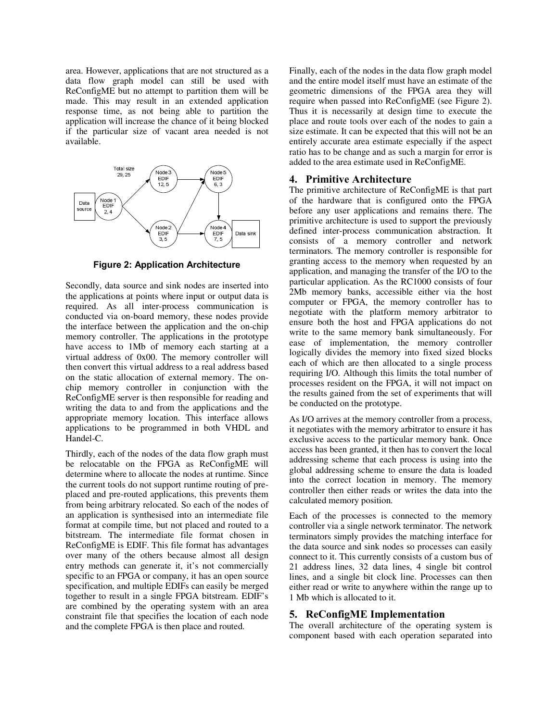area. However, applications that are not structured as a data flow graph model can still be used with ReConfigME but no attempt to partition them will be made. This may result in an extended application response time, as not being able to partition the application will increase the chance of it being blocked if the particular size of vacant area needed is not available.



**Figure 2: Application Architecture** 

Secondly, data source and sink nodes are inserted into the applications at points where input or output data is required. As all inter-process communication is conducted via on-board memory, these nodes provide the interface between the application and the on-chip memory controller. The applications in the prototype have access to 1Mb of memory each starting at a virtual address of 0x00. The memory controller will then convert this virtual address to a real address based on the static allocation of external memory. The onchip memory controller in conjunction with the ReConfigME server is then responsible for reading and writing the data to and from the applications and the appropriate memory location. This interface allows applications to be programmed in both VHDL and Handel-C.

Thirdly, each of the nodes of the data flow graph must be relocatable on the FPGA as ReConfigME will determine where to allocate the nodes at runtime. Since the current tools do not support runtime routing of preplaced and pre-routed applications, this prevents them from being arbitrary relocated. So each of the nodes of an application is synthesised into an intermediate file format at compile time, but not placed and routed to a bitstream. The intermediate file format chosen in ReConfigME is EDIF. This file format has advantages over many of the others because almost all design entry methods can generate it, it's not commercially specific to an FPGA or company, it has an open source specification, and multiple EDIFs can easily be merged together to result in a single FPGA bitstream. EDIF's are combined by the operating system with an area constraint file that specifies the location of each node and the complete FPGA is then place and routed.

Finally, each of the nodes in the data flow graph model and the entire model itself must have an estimate of the geometric dimensions of the FPGA area they will require when passed into ReConfigME (see Figure 2). Thus it is necessarily at design time to execute the place and route tools over each of the nodes to gain a size estimate. It can be expected that this will not be an entirely accurate area estimate especially if the aspect ratio has to be change and as such a margin for error is added to the area estimate used in ReConfigME.

#### **4. Primitive Architecture**

The primitive architecture of ReConfigME is that part of the hardware that is configured onto the FPGA before any user applications and remains there. The primitive architecture is used to support the previously defined inter-process communication abstraction. It consists of a memory controller and network terminators. The memory controller is responsible for granting access to the memory when requested by an application, and managing the transfer of the I/O to the particular application. As the RC1000 consists of four 2Mb memory banks, accessible either via the host computer or FPGA, the memory controller has to negotiate with the platform memory arbitrator to ensure both the host and FPGA applications do not write to the same memory bank simultaneously. For ease of implementation, the memory controller logically divides the memory into fixed sized blocks each of which are then allocated to a single process requiring I/O. Although this limits the total number of processes resident on the FPGA, it will not impact on the results gained from the set of experiments that will be conducted on the prototype.

As I/O arrives at the memory controller from a process, it negotiates with the memory arbitrator to ensure it has exclusive access to the particular memory bank. Once access has been granted, it then has to convert the local addressing scheme that each process is using into the global addressing scheme to ensure the data is loaded into the correct location in memory. The memory controller then either reads or writes the data into the calculated memory position.

Each of the processes is connected to the memory controller via a single network terminator. The network terminators simply provides the matching interface for the data source and sink nodes so processes can easily connect to it. This currently consists of a custom bus of 21 address lines, 32 data lines, 4 single bit control lines, and a single bit clock line. Processes can then either read or write to anywhere within the range up to 1 Mb which is allocated to it.

# **5. ReConfigME Implementation**

The overall architecture of the operating system is component based with each operation separated into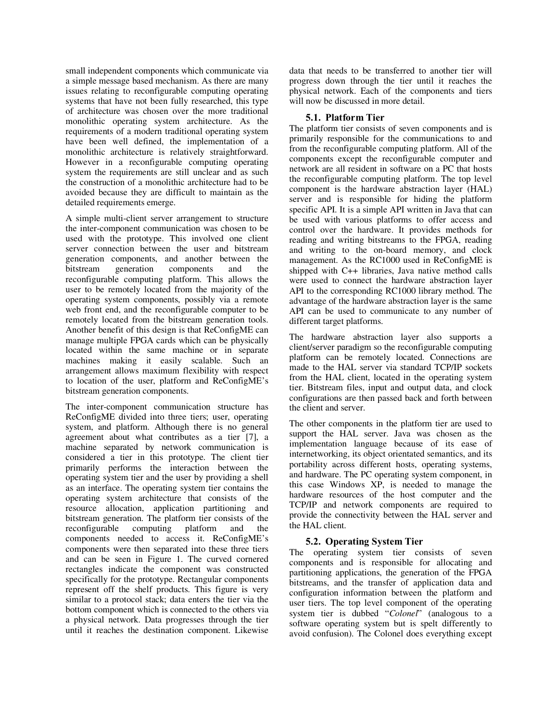small independent components which communicate via a simple message based mechanism. As there are many issues relating to reconfigurable computing operating systems that have not been fully researched, this type of architecture was chosen over the more traditional monolithic operating system architecture. As the requirements of a modern traditional operating system have been well defined, the implementation of a monolithic architecture is relatively straightforward. However in a reconfigurable computing operating system the requirements are still unclear and as such the construction of a monolithic architecture had to be avoided because they are difficult to maintain as the detailed requirements emerge.

A simple multi-client server arrangement to structure the inter-component communication was chosen to be used with the prototype. This involved one client server connection between the user and bitstream generation components, and another between the bitstream generation components and the reconfigurable computing platform. This allows the user to be remotely located from the majority of the operating system components, possibly via a remote web front end, and the reconfigurable computer to be remotely located from the bitstream generation tools. Another benefit of this design is that ReConfigME can manage multiple FPGA cards which can be physically located within the same machine or in separate machines making it easily scalable. Such an arrangement allows maximum flexibility with respect to location of the user, platform and ReConfigME's bitstream generation components.

The inter-component communication structure has ReConfigME divided into three tiers; user, operating system, and platform. Although there is no general agreement about what contributes as a tier [7], a machine separated by network communication is considered a tier in this prototype. The client tier primarily performs the interaction between the operating system tier and the user by providing a shell as an interface. The operating system tier contains the operating system architecture that consists of the resource allocation, application partitioning and bitstream generation. The platform tier consists of the reconfigurable computing platform and the components needed to access it. ReConfigME's components were then separated into these three tiers and can be seen in Figure 1. The curved cornered rectangles indicate the component was constructed specifically for the prototype. Rectangular components represent off the shelf products. This figure is very similar to a protocol stack; data enters the tier via the bottom component which is connected to the others via a physical network. Data progresses through the tier until it reaches the destination component. Likewise

data that needs to be transferred to another tier will progress down through the tier until it reaches the physical network. Each of the components and tiers will now be discussed in more detail.

#### **5.1. Platform Tier**

The platform tier consists of seven components and is primarily responsible for the communications to and from the reconfigurable computing platform. All of the components except the reconfigurable computer and network are all resident in software on a PC that hosts the reconfigurable computing platform. The top level component is the hardware abstraction layer (HAL) server and is responsible for hiding the platform specific API. It is a simple API written in Java that can be used with various platforms to offer access and control over the hardware. It provides methods for reading and writing bitstreams to the FPGA, reading and writing to the on-board memory, and clock management. As the RC1000 used in ReConfigME is shipped with C++ libraries, Java native method calls were used to connect the hardware abstraction layer API to the corresponding RC1000 library method. The advantage of the hardware abstraction layer is the same API can be used to communicate to any number of different target platforms.

The hardware abstraction layer also supports a client/server paradigm so the reconfigurable computing platform can be remotely located. Connections are made to the HAL server via standard TCP/IP sockets from the HAL client, located in the operating system tier. Bitstream files, input and output data, and clock configurations are then passed back and forth between the client and server.

The other components in the platform tier are used to support the HAL server. Java was chosen as the implementation language because of its ease of internetworking, its object orientated semantics, and its portability across different hosts, operating systems, and hardware. The PC operating system component, in this case Windows XP, is needed to manage the hardware resources of the host computer and the TCP/IP and network components are required to provide the connectivity between the HAL server and the HAL client.

#### **5.2. Operating System Tier**

The operating system tier consists of seven components and is responsible for allocating and partitioning applications, the generation of the FPGA bitstreams, and the transfer of application data and configuration information between the platform and user tiers. The top level component of the operating system tier is dubbed "*Colonel*" (analogous to a software operating system but is spelt differently to avoid confusion). The Colonel does everything except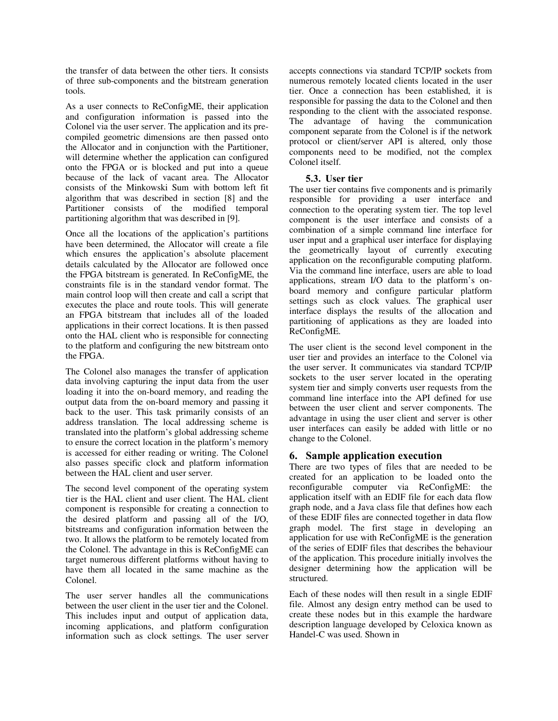the transfer of data between the other tiers. It consists of three sub-components and the bitstream generation tools.

As a user connects to ReConfigME, their application and configuration information is passed into the Colonel via the user server. The application and its precompiled geometric dimensions are then passed onto the Allocator and in conjunction with the Partitioner, will determine whether the application can configured onto the FPGA or is blocked and put into a queue because of the lack of vacant area. The Allocator consists of the Minkowski Sum with bottom left fit algorithm that was described in section [8] and the Partitioner consists of the modified temporal partitioning algorithm that was described in [9].

Once all the locations of the application's partitions have been determined, the Allocator will create a file which ensures the application's absolute placement details calculated by the Allocator are followed once the FPGA bitstream is generated. In ReConfigME, the constraints file is in the standard vendor format. The main control loop will then create and call a script that executes the place and route tools. This will generate an FPGA bitstream that includes all of the loaded applications in their correct locations. It is then passed onto the HAL client who is responsible for connecting to the platform and configuring the new bitstream onto the FPGA.

The Colonel also manages the transfer of application data involving capturing the input data from the user loading it into the on-board memory, and reading the output data from the on-board memory and passing it back to the user. This task primarily consists of an address translation. The local addressing scheme is translated into the platform's global addressing scheme to ensure the correct location in the platform's memory is accessed for either reading or writing. The Colonel also passes specific clock and platform information between the HAL client and user server.

The second level component of the operating system tier is the HAL client and user client. The HAL client component is responsible for creating a connection to the desired platform and passing all of the I/O, bitstreams and configuration information between the two. It allows the platform to be remotely located from the Colonel. The advantage in this is ReConfigME can target numerous different platforms without having to have them all located in the same machine as the Colonel.

The user server handles all the communications between the user client in the user tier and the Colonel. This includes input and output of application data, incoming applications, and platform configuration information such as clock settings. The user server

accepts connections via standard TCP/IP sockets from numerous remotely located clients located in the user tier. Once a connection has been established, it is responsible for passing the data to the Colonel and then responding to the client with the associated response. The advantage of having the communication component separate from the Colonel is if the network protocol or client/server API is altered, only those components need to be modified, not the complex Colonel itself.

#### **5.3. User tier**

The user tier contains five components and is primarily responsible for providing a user interface and connection to the operating system tier. The top level component is the user interface and consists of a combination of a simple command line interface for user input and a graphical user interface for displaying the geometrically layout of currently executing application on the reconfigurable computing platform. Via the command line interface, users are able to load applications, stream I/O data to the platform's onboard memory and configure particular platform settings such as clock values. The graphical user interface displays the results of the allocation and partitioning of applications as they are loaded into ReConfigME.

The user client is the second level component in the user tier and provides an interface to the Colonel via the user server. It communicates via standard TCP/IP sockets to the user server located in the operating system tier and simply converts user requests from the command line interface into the API defined for use between the user client and server components. The advantage in using the user client and server is other user interfaces can easily be added with little or no change to the Colonel.

#### **6. Sample application execution**

There are two types of files that are needed to be created for an application to be loaded onto the reconfigurable computer via ReConfigME: the application itself with an EDIF file for each data flow graph node, and a Java class file that defines how each of these EDIF files are connected together in data flow graph model. The first stage in developing an application for use with ReConfigME is the generation of the series of EDIF files that describes the behaviour of the application. This procedure initially involves the designer determining how the application will be structured.

Each of these nodes will then result in a single EDIF file. Almost any design entry method can be used to create these nodes but in this example the hardware description language developed by Celoxica known as Handel-C was used. Shown in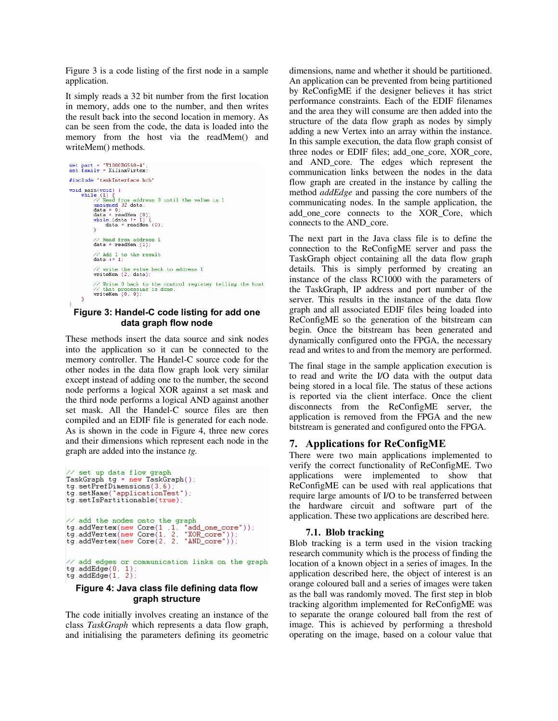Figure 3 is a code listing of the first node in a sample application.

It simply reads a 32 bit number from the first location in memory, adds one to the number, and then writes the result back into the second location in memory. As can be seen from the code, the data is loaded into the memory from the host via the readMem() and writeMem() methods.

```
set part = "V1000BG560-4"<br>set family = XilinxVirtex
#include "taskInterface.hch"
void main(void) {
      d main(void) {<br>while (1) {<br>migned ion address 0 u<br>unsigned 32 data;<br>data = 0;<br>data = readMem (0);<br>while (data l=1) {<br>while (data l=1) {<br>ata = readMem (0);<br>}
                                         address 0 until the value is 1
               \frac{1}{2} Read from address 1<br>data = readMem (1);
                \frac{1}{4} Add 1 to the result data += 1;
               \frac{1}{2} write the value back to address 1<br>writeMem (2, data);
                // Write 0 back to the control register telling the host
                \frac{1}{2} that processing is done<br>writeMem (0, 0);
       \Deltah,
```
#### **Figure 3: Handel-C code listing for add one data graph flow node**

These methods insert the data source and sink nodes into the application so it can be connected to the memory controller. The Handel-C source code for the other nodes in the data flow graph look very similar except instead of adding one to the number, the second node performs a logical XOR against a set mask and the third node performs a logical AND against another set mask. All the Handel-C source files are then compiled and an EDIF file is generated for each node. As is shown in the code in Figure 4, three new cores and their dimensions which represent each node in the graph are added into the instance *tg.*

```
// set up data flow graph<br>TaskGraph tg = new TaskGraph();
tg.setPrefDimensions(3,6);<br>tg.setPrefDimensions(3,6);<br>tg.setName("applicationTest");
tg.setIsPartitionable(true);
// add the nodes onto the graph<br>tg.addVertex(new Core(1 .1, "add_one_core"));<br>tg.addVertex(new Core(1, 2, "XOR_core"));<br>tg.addVertex(new Core(2, 2, "AND_core"));
// add edges or communication links on the graph
```

```
tg.addEdge(0, 1);<br>tg.addEdge(1, 2);
```
#### **Figure 4: Java class file defining data flow graph structure**

The code initially involves creating an instance of the class *TaskGraph* which represents a data flow graph, and initialising the parameters defining its geometric dimensions, name and whether it should be partitioned. An application can be prevented from being partitioned by ReConfigME if the designer believes it has strict performance constraints. Each of the EDIF filenames and the area they will consume are then added into the structure of the data flow graph as nodes by simply adding a new Vertex into an array within the instance. In this sample execution, the data flow graph consist of three nodes or EDIF files; add\_one\_core, XOR\_core, and AND\_core. The edges which represent the communication links between the nodes in the data flow graph are created in the instance by calling the method *addEdge* and passing the core numbers of the communicating nodes. In the sample application, the add one core connects to the XOR Core, which connects to the AND\_core.

The next part in the Java class file is to define the connection to the ReConfigME server and pass the TaskGraph object containing all the data flow graph details. This is simply performed by creating an instance of the class RC1000 with the parameters of the TaskGraph, IP address and port number of the server. This results in the instance of the data flow graph and all associated EDIF files being loaded into ReConfigME so the generation of the bitstream can begin. Once the bitstream has been generated and dynamically configured onto the FPGA, the necessary read and writes to and from the memory are performed.

The final stage in the sample application execution is to read and write the I/O data with the output data being stored in a local file. The status of these actions is reported via the client interface. Once the client disconnects from the ReConfigME server, the application is removed from the FPGA and the new bitstream is generated and configured onto the FPGA.

# **7. Applications for ReConfigME**

There were two main applications implemented to verify the correct functionality of ReConfigME. Two applications were implemented to show that ReConfigME can be used with real applications that require large amounts of I/O to be transferred between the hardware circuit and software part of the application. These two applications are described here.

# **7.1. Blob tracking**

Blob tracking is a term used in the vision tracking research community which is the process of finding the location of a known object in a series of images. In the application described here, the object of interest is an orange coloured ball and a series of images were taken as the ball was randomly moved. The first step in blob tracking algorithm implemented for ReConfigME was to separate the orange coloured ball from the rest of image. This is achieved by performing a threshold operating on the image, based on a colour value that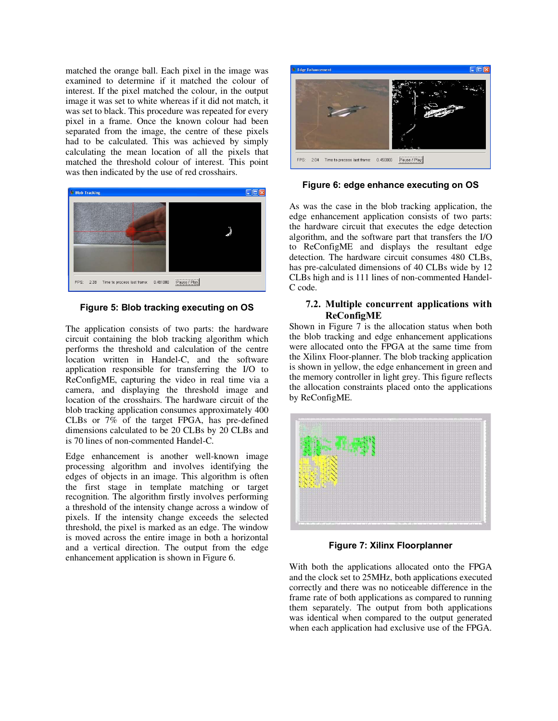matched the orange ball. Each pixel in the image was examined to determine if it matched the colour of interest. If the pixel matched the colour, in the output image it was set to white whereas if it did not match, it was set to black. This procedure was repeated for every pixel in a frame. Once the known colour had been separated from the image, the centre of these pixels had to be calculated. This was achieved by simply calculating the mean location of all the pixels that matched the threshold colour of interest. This point was then indicated by the use of red crosshairs.



**Figure 5: Blob tracking executing on OS** 

The application consists of two parts: the hardware circuit containing the blob tracking algorithm which performs the threshold and calculation of the centre location written in Handel-C, and the software application responsible for transferring the I/O to ReConfigME, capturing the video in real time via a camera, and displaying the threshold image and location of the crosshairs. The hardware circuit of the blob tracking application consumes approximately 400 CLBs or 7% of the target FPGA, has pre-defined dimensions calculated to be 20 CLBs by 20 CLBs and is 70 lines of non-commented Handel-C.

Edge enhancement is another well-known image processing algorithm and involves identifying the edges of objects in an image. This algorithm is often the first stage in template matching or target recognition. The algorithm firstly involves performing a threshold of the intensity change across a window of pixels. If the intensity change exceeds the selected threshold, the pixel is marked as an edge. The window is moved across the entire image in both a horizontal and a vertical direction. The output from the edge enhancement application is shown in Figure 6.



**Figure 6: edge enhance executing on OS** 

As was the case in the blob tracking application, the edge enhancement application consists of two parts: the hardware circuit that executes the edge detection algorithm, and the software part that transfers the I/O to ReConfigME and displays the resultant edge detection. The hardware circuit consumes 480 CLBs, has pre-calculated dimensions of 40 CLBs wide by 12 CLBs high and is 111 lines of non-commented Handel-C code.

#### **7.2. Multiple concurrent applications with ReConfigME**

Shown in Figure 7 is the allocation status when both the blob tracking and edge enhancement applications were allocated onto the FPGA at the same time from the Xilinx Floor-planner. The blob tracking application is shown in yellow, the edge enhancement in green and the memory controller in light grey. This figure reflects the allocation constraints placed onto the applications by ReConfigME.



**Figure 7: Xilinx Floorplanner** 

With both the applications allocated onto the FPGA and the clock set to 25MHz, both applications executed correctly and there was no noticeable difference in the frame rate of both applications as compared to running them separately. The output from both applications was identical when compared to the output generated when each application had exclusive use of the FPGA.